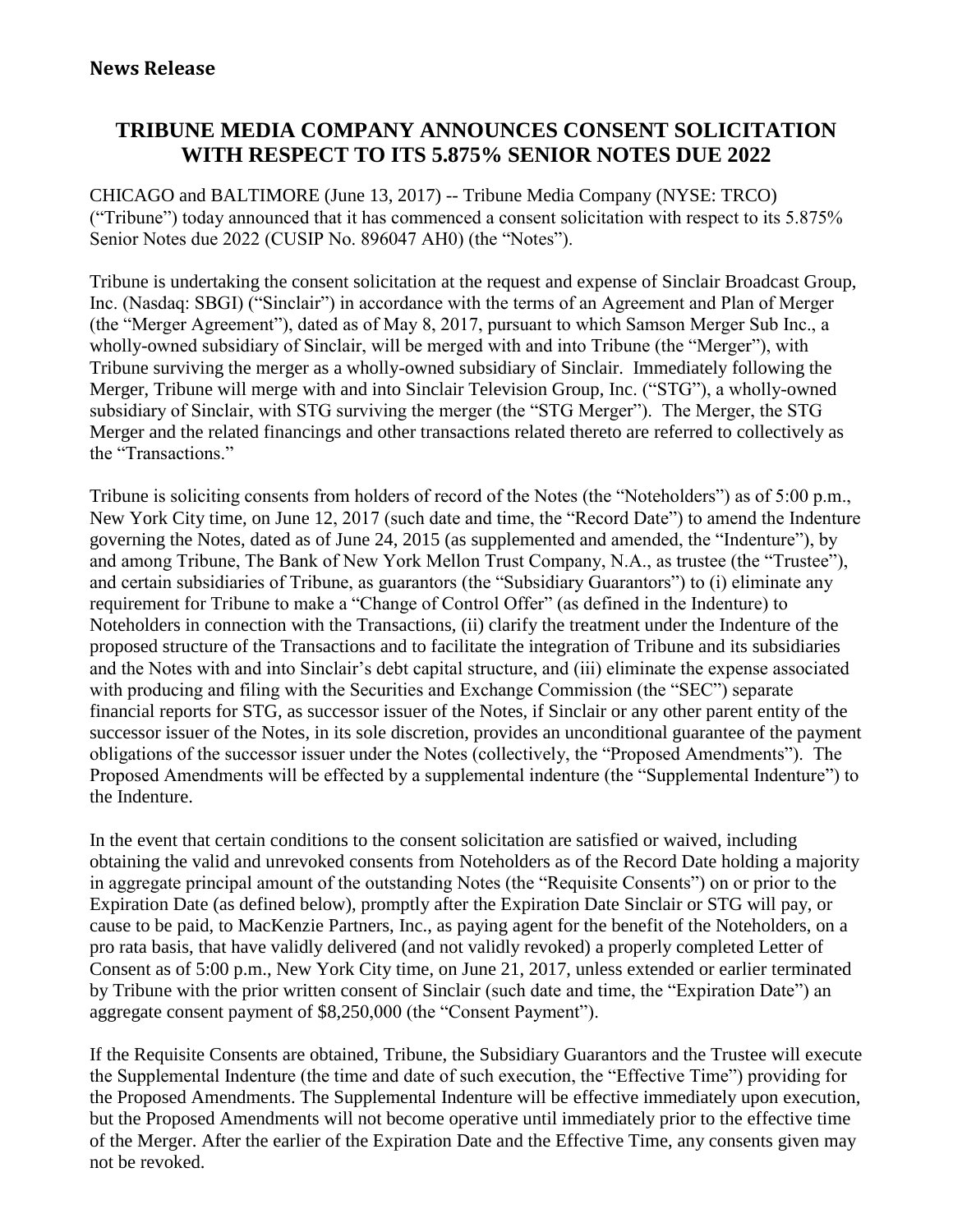# **TRIBUNE MEDIA COMPANY ANNOUNCES CONSENT SOLICITATION WITH RESPECT TO ITS 5.875% SENIOR NOTES DUE 2022**

CHICAGO and BALTIMORE (June 13, 2017) -- Tribune Media Company (NYSE: TRCO) ("Tribune") today announced that it has commenced a consent solicitation with respect to its 5.875% Senior Notes due 2022 (CUSIP No. 896047 AH0) (the "Notes").

Tribune is undertaking the consent solicitation at the request and expense of Sinclair Broadcast Group, Inc. (Nasdaq: SBGI) ("Sinclair") in accordance with the terms of an Agreement and Plan of Merger (the "Merger Agreement"), dated as of May 8, 2017, pursuant to which Samson Merger Sub Inc., a wholly-owned subsidiary of Sinclair, will be merged with and into Tribune (the "Merger"), with Tribune surviving the merger as a wholly-owned subsidiary of Sinclair. Immediately following the Merger, Tribune will merge with and into Sinclair Television Group, Inc. ("STG"), a wholly-owned subsidiary of Sinclair, with STG surviving the merger (the "STG Merger"). The Merger, the STG Merger and the related financings and other transactions related thereto are referred to collectively as the "Transactions."

Tribune is soliciting consents from holders of record of the Notes (the "Noteholders") as of 5:00 p.m., New York City time, on June 12, 2017 (such date and time, the "Record Date") to amend the Indenture governing the Notes, dated as of June 24, 2015 (as supplemented and amended, the "Indenture"), by and among Tribune, The Bank of New York Mellon Trust Company, N.A., as trustee (the "Trustee"), and certain subsidiaries of Tribune, as guarantors (the "Subsidiary Guarantors") to (i) eliminate any requirement for Tribune to make a "Change of Control Offer" (as defined in the Indenture) to Noteholders in connection with the Transactions, (ii) clarify the treatment under the Indenture of the proposed structure of the Transactions and to facilitate the integration of Tribune and its subsidiaries and the Notes with and into Sinclair's debt capital structure, and (iii) eliminate the expense associated with producing and filing with the Securities and Exchange Commission (the "SEC") separate financial reports for STG, as successor issuer of the Notes, if Sinclair or any other parent entity of the successor issuer of the Notes, in its sole discretion, provides an unconditional guarantee of the payment obligations of the successor issuer under the Notes (collectively, the "Proposed Amendments"). The Proposed Amendments will be effected by a supplemental indenture (the "Supplemental Indenture") to the Indenture.

In the event that certain conditions to the consent solicitation are satisfied or waived, including obtaining the valid and unrevoked consents from Noteholders as of the Record Date holding a majority in aggregate principal amount of the outstanding Notes (the "Requisite Consents") on or prior to the Expiration Date (as defined below), promptly after the Expiration Date Sinclair or STG will pay, or cause to be paid, to MacKenzie Partners, Inc., as paying agent for the benefit of the Noteholders, on a pro rata basis, that have validly delivered (and not validly revoked) a properly completed Letter of Consent as of 5:00 p.m., New York City time, on June 21, 2017, unless extended or earlier terminated by Tribune with the prior written consent of Sinclair (such date and time, the "Expiration Date") an aggregate consent payment of \$8,250,000 (the "Consent Payment").

If the Requisite Consents are obtained, Tribune, the Subsidiary Guarantors and the Trustee will execute the Supplemental Indenture (the time and date of such execution, the "Effective Time") providing for the Proposed Amendments. The Supplemental Indenture will be effective immediately upon execution, but the Proposed Amendments will not become operative until immediately prior to the effective time of the Merger. After the earlier of the Expiration Date and the Effective Time, any consents given may not be revoked.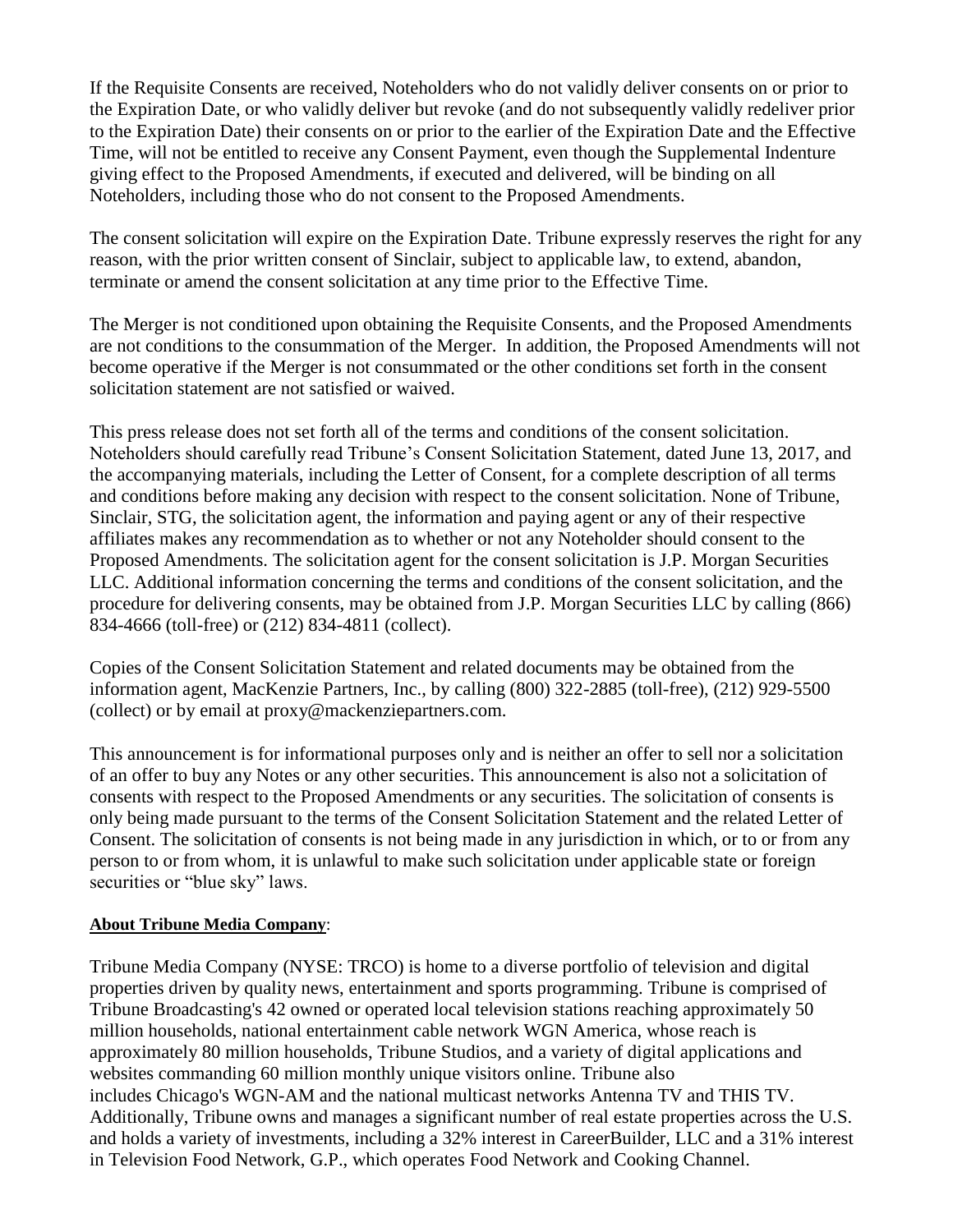If the Requisite Consents are received, Noteholders who do not validly deliver consents on or prior to the Expiration Date, or who validly deliver but revoke (and do not subsequently validly redeliver prior to the Expiration Date) their consents on or prior to the earlier of the Expiration Date and the Effective Time, will not be entitled to receive any Consent Payment, even though the Supplemental Indenture giving effect to the Proposed Amendments, if executed and delivered, will be binding on all Noteholders, including those who do not consent to the Proposed Amendments.

The consent solicitation will expire on the Expiration Date. Tribune expressly reserves the right for any reason, with the prior written consent of Sinclair, subject to applicable law, to extend, abandon, terminate or amend the consent solicitation at any time prior to the Effective Time.

The Merger is not conditioned upon obtaining the Requisite Consents, and the Proposed Amendments are not conditions to the consummation of the Merger. In addition, the Proposed Amendments will not become operative if the Merger is not consummated or the other conditions set forth in the consent solicitation statement are not satisfied or waived.

This press release does not set forth all of the terms and conditions of the consent solicitation. Noteholders should carefully read Tribune's Consent Solicitation Statement, dated June 13, 2017, and the accompanying materials, including the Letter of Consent, for a complete description of all terms and conditions before making any decision with respect to the consent solicitation. None of Tribune, Sinclair, STG, the solicitation agent, the information and paying agent or any of their respective affiliates makes any recommendation as to whether or not any Noteholder should consent to the Proposed Amendments. The solicitation agent for the consent solicitation is J.P. Morgan Securities LLC. Additional information concerning the terms and conditions of the consent solicitation, and the procedure for delivering consents, may be obtained from J.P. Morgan Securities LLC by calling (866) 834-4666 (toll-free) or (212) 834-4811 (collect).

Copies of the Consent Solicitation Statement and related documents may be obtained from the information agent, MacKenzie Partners, Inc., by calling (800) 322-2885 (toll-free), (212) 929-5500 (collect) or by email at proxy@mackenziepartners.com.

This announcement is for informational purposes only and is neither an offer to sell nor a solicitation of an offer to buy any Notes or any other securities. This announcement is also not a solicitation of consents with respect to the Proposed Amendments or any securities. The solicitation of consents is only being made pursuant to the terms of the Consent Solicitation Statement and the related Letter of Consent. The solicitation of consents is not being made in any jurisdiction in which, or to or from any person to or from whom, it is unlawful to make such solicitation under applicable state or foreign securities or "blue sky" laws.

### **About Tribune Media Company**:

Tribune Media Company (NYSE: TRCO) is home to a diverse portfolio of television and digital properties driven by quality news, entertainment and sports programming. Tribune is comprised of Tribune Broadcasting's 42 owned or operated local television stations reaching approximately 50 million households, national entertainment cable network WGN America, whose reach is approximately 80 million households, Tribune Studios, and a variety of digital applications and websites commanding 60 million monthly unique visitors online. Tribune also includes Chicago's WGN-AM and the national multicast networks Antenna TV and THIS TV. Additionally, Tribune owns and manages a significant number of real estate properties across the U.S. and holds a variety of investments, including a 32% interest in CareerBuilder, LLC and a 31% interest in Television Food Network, G.P., which operates Food Network and Cooking Channel.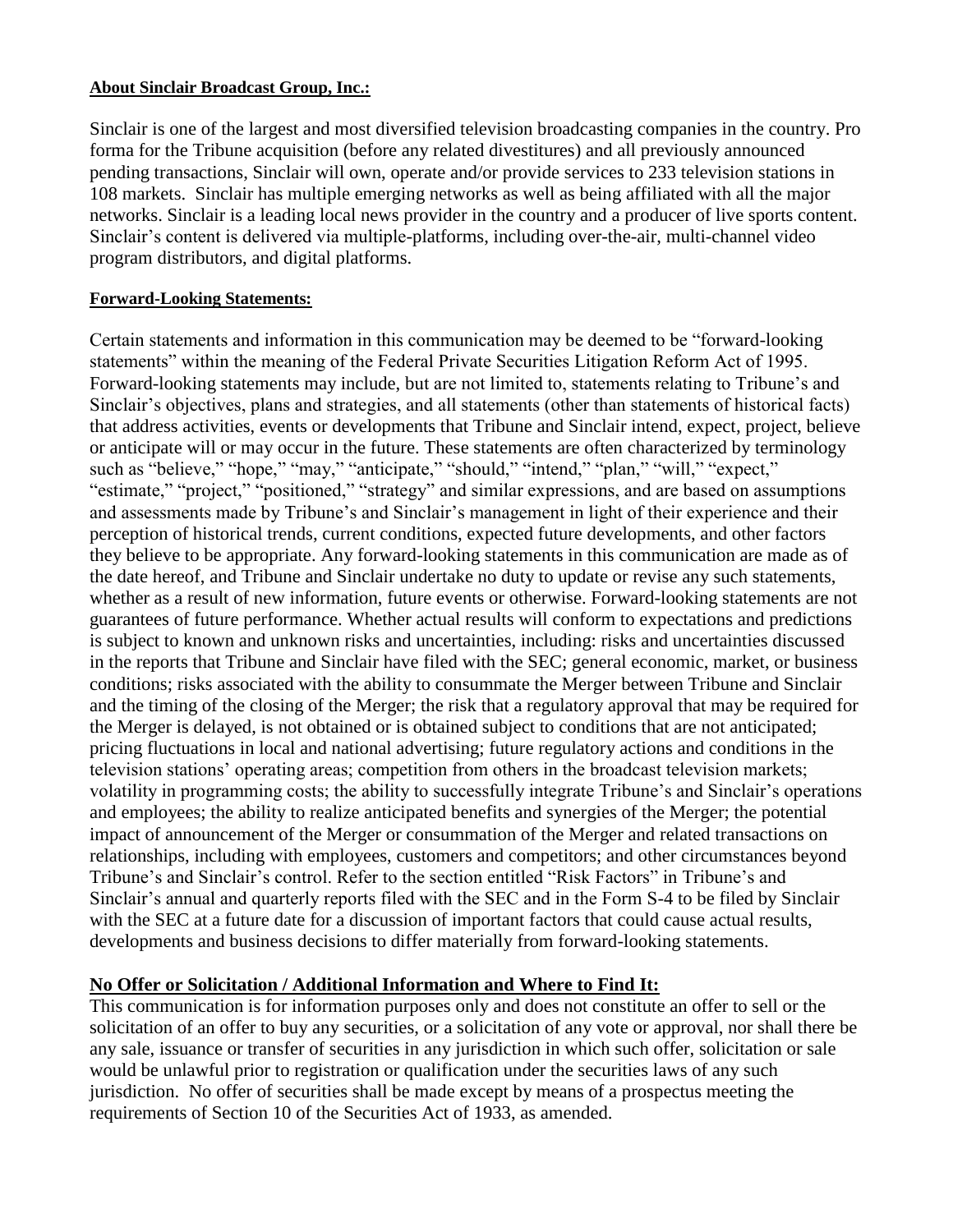#### **About Sinclair Broadcast Group, Inc.:**

Sinclair is one of the largest and most diversified television broadcasting companies in the country. Pro forma for the Tribune acquisition (before any related divestitures) and all previously announced pending transactions, Sinclair will own, operate and/or provide services to 233 television stations in 108 markets. Sinclair has multiple emerging networks as well as being affiliated with all the major networks. Sinclair is a leading local news provider in the country and a producer of live sports content. Sinclair's content is delivered via multiple-platforms, including over-the-air, multi-channel video program distributors, and digital platforms.

### **Forward-Looking Statements:**

Certain statements and information in this communication may be deemed to be "forward-looking statements" within the meaning of the Federal Private Securities Litigation Reform Act of 1995. Forward-looking statements may include, but are not limited to, statements relating to Tribune's and Sinclair's objectives, plans and strategies, and all statements (other than statements of historical facts) that address activities, events or developments that Tribune and Sinclair intend, expect, project, believe or anticipate will or may occur in the future. These statements are often characterized by terminology such as "believe," "hope," "may," "anticipate," "should," "intend," "plan," "will," "expect," "estimate," "project," "positioned," "strategy" and similar expressions, and are based on assumptions and assessments made by Tribune's and Sinclair's management in light of their experience and their perception of historical trends, current conditions, expected future developments, and other factors they believe to be appropriate. Any forward-looking statements in this communication are made as of the date hereof, and Tribune and Sinclair undertake no duty to update or revise any such statements, whether as a result of new information, future events or otherwise. Forward-looking statements are not guarantees of future performance. Whether actual results will conform to expectations and predictions is subject to known and unknown risks and uncertainties, including: risks and uncertainties discussed in the reports that Tribune and Sinclair have filed with the SEC; general economic, market, or business conditions; risks associated with the ability to consummate the Merger between Tribune and Sinclair and the timing of the closing of the Merger; the risk that a regulatory approval that may be required for the Merger is delayed, is not obtained or is obtained subject to conditions that are not anticipated; pricing fluctuations in local and national advertising; future regulatory actions and conditions in the television stations' operating areas; competition from others in the broadcast television markets; volatility in programming costs; the ability to successfully integrate Tribune's and Sinclair's operations and employees; the ability to realize anticipated benefits and synergies of the Merger; the potential impact of announcement of the Merger or consummation of the Merger and related transactions on relationships, including with employees, customers and competitors; and other circumstances beyond Tribune's and Sinclair's control. Refer to the section entitled "Risk Factors" in Tribune's and Sinclair's annual and quarterly reports filed with the SEC and in the Form S-4 to be filed by Sinclair with the SEC at a future date for a discussion of important factors that could cause actual results, developments and business decisions to differ materially from forward-looking statements.

## **No Offer or Solicitation / Additional Information and Where to Find It:**

This communication is for information purposes only and does not constitute an offer to sell or the solicitation of an offer to buy any securities, or a solicitation of any vote or approval, nor shall there be any sale, issuance or transfer of securities in any jurisdiction in which such offer, solicitation or sale would be unlawful prior to registration or qualification under the securities laws of any such jurisdiction. No offer of securities shall be made except by means of a prospectus meeting the requirements of Section 10 of the Securities Act of 1933, as amended.